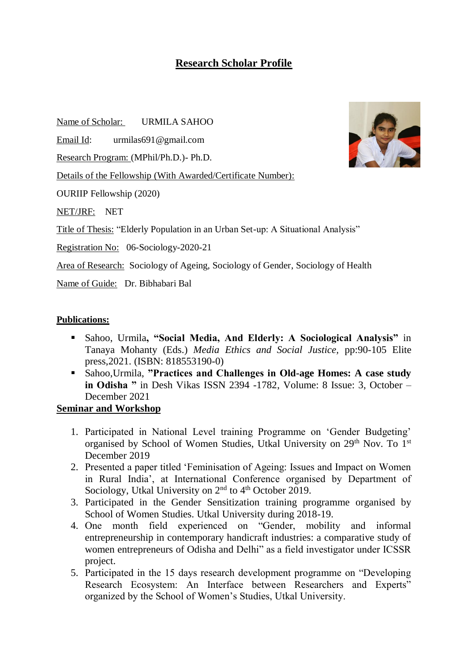## **Research Scholar Profile**

Name of Scholar: URMILA SAHOO

Email Id: urmilas691@gmail.com

Research Program: (MPhil/Ph.D.)- Ph.D.

Details of the Fellowship (With Awarded/Certificate Number):

OURIIP Fellowship (2020)

NET/JRF: NET

Title of Thesis: "Elderly Population in an Urban Set-up: A Situational Analysis"

Registration No: 06-Sociology-2020-21

Area of Research: Sociology of Ageing, Sociology of Gender, Sociology of Health

Name of Guide: Dr. Bibhabari Bal

## **Publications:**

- Sahoo, Urmila**, "Social Media, And Elderly: A Sociological Analysis"** in Tanaya Mohanty (Eds.) *Media Ethics and Social Justice,* pp:90-105 Elite press,2021. (ISBN: 818553190-0)
- Sahoo,Urmila, **"Practices and Challenges in Old-age Homes: A case study in Odisha "** in Desh Vikas ISSN 2394 -1782, Volume: 8 Issue: 3, October – December 2021

## **Seminar and Workshop**

- 1. Participated in National Level training Programme on 'Gender Budgeting' organised by School of Women Studies, Utkal University on 29<sup>th</sup> Nov. To 1<sup>st</sup> December 2019
- 2. Presented a paper titled 'Feminisation of Ageing: Issues and Impact on Women in Rural India', at International Conference organised by Department of Sociology, Utkal University on  $2<sup>nd</sup>$  to  $4<sup>th</sup>$  October 2019.
- 3. Participated in the Gender Sensitization training programme organised by School of Women Studies. Utkal University during 2018-19.
- 4. One month field experienced on "Gender, mobility and informal entrepreneurship in contemporary handicraft industries: a comparative study of women entrepreneurs of Odisha and Delhi" as a field investigator under ICSSR project.
- 5. Participated in the 15 days research development programme on "Developing Research Ecosystem: An Interface between Researchers and Experts" organized by the School of Women's Studies, Utkal University.